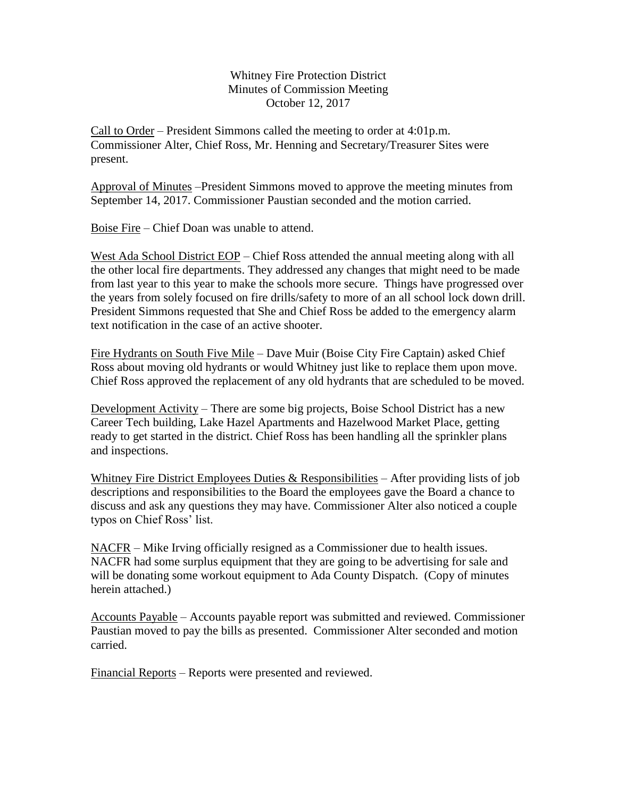Whitney Fire Protection District Minutes of Commission Meeting October 12, 2017

Call to Order – President Simmons called the meeting to order at 4:01p.m. Commissioner Alter, Chief Ross, Mr. Henning and Secretary/Treasurer Sites were present.

Approval of Minutes –President Simmons moved to approve the meeting minutes from September 14, 2017. Commissioner Paustian seconded and the motion carried.

Boise Fire – Chief Doan was unable to attend.

West Ada School District EOP – Chief Ross attended the annual meeting along with all the other local fire departments. They addressed any changes that might need to be made from last year to this year to make the schools more secure. Things have progressed over the years from solely focused on fire drills/safety to more of an all school lock down drill. President Simmons requested that She and Chief Ross be added to the emergency alarm text notification in the case of an active shooter.

Fire Hydrants on South Five Mile – Dave Muir (Boise City Fire Captain) asked Chief Ross about moving old hydrants or would Whitney just like to replace them upon move. Chief Ross approved the replacement of any old hydrants that are scheduled to be moved.

Development Activity – There are some big projects, Boise School District has a new Career Tech building, Lake Hazel Apartments and Hazelwood Market Place, getting ready to get started in the district. Chief Ross has been handling all the sprinkler plans and inspections.

Whitney Fire District Employees Duties  $\&$  Responsibilities – After providing lists of job descriptions and responsibilities to the Board the employees gave the Board a chance to discuss and ask any questions they may have. Commissioner Alter also noticed a couple typos on Chief Ross' list.

NACFR – Mike Irving officially resigned as a Commissioner due to health issues. NACFR had some surplus equipment that they are going to be advertising for sale and will be donating some workout equipment to Ada County Dispatch. (Copy of minutes herein attached.)

Accounts Payable – Accounts payable report was submitted and reviewed. Commissioner Paustian moved to pay the bills as presented. Commissioner Alter seconded and motion carried.

Financial Reports – Reports were presented and reviewed.